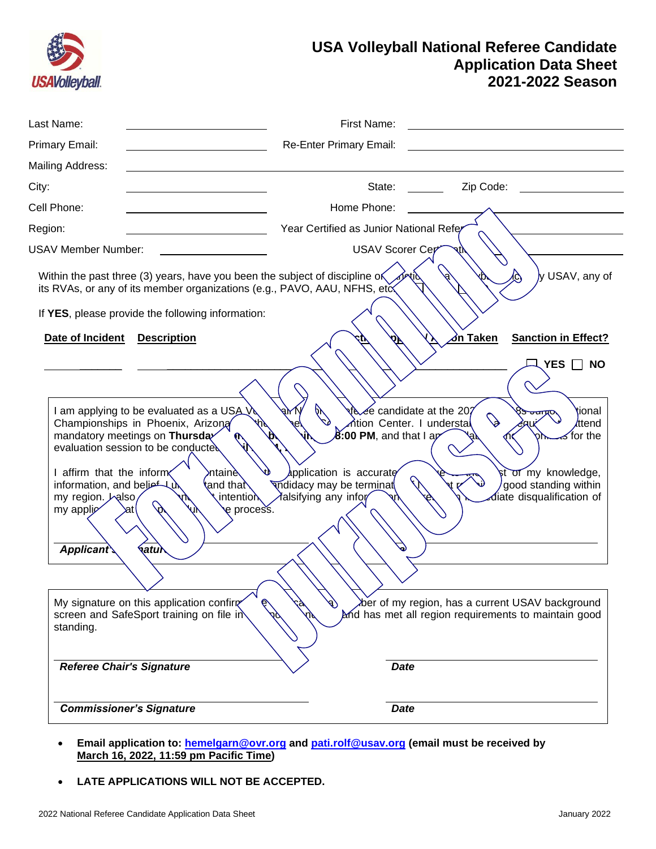

# **USA Volleyball National Referee Candidate Application Data Sheet 2021-2022 Season**

| Last Name:                                                                                                                                                                                                                |                                                                                                                                                                                                                                                                                       | First Name:                                                                                                                                     |                                                                                                                                                                                                     |                                                                                                                               |
|---------------------------------------------------------------------------------------------------------------------------------------------------------------------------------------------------------------------------|---------------------------------------------------------------------------------------------------------------------------------------------------------------------------------------------------------------------------------------------------------------------------------------|-------------------------------------------------------------------------------------------------------------------------------------------------|-----------------------------------------------------------------------------------------------------------------------------------------------------------------------------------------------------|-------------------------------------------------------------------------------------------------------------------------------|
| Primary Email:                                                                                                                                                                                                            |                                                                                                                                                                                                                                                                                       | Re-Enter Primary Email:                                                                                                                         |                                                                                                                                                                                                     |                                                                                                                               |
| Mailing Address:                                                                                                                                                                                                          |                                                                                                                                                                                                                                                                                       |                                                                                                                                                 |                                                                                                                                                                                                     |                                                                                                                               |
| City:                                                                                                                                                                                                                     |                                                                                                                                                                                                                                                                                       | State:                                                                                                                                          | Zip Code:                                                                                                                                                                                           |                                                                                                                               |
| Cell Phone:                                                                                                                                                                                                               |                                                                                                                                                                                                                                                                                       | Home Phone:                                                                                                                                     |                                                                                                                                                                                                     |                                                                                                                               |
| Region:                                                                                                                                                                                                                   |                                                                                                                                                                                                                                                                                       | Year Certified as Junior National Refe                                                                                                          |                                                                                                                                                                                                     |                                                                                                                               |
| <b>USAV Member Number:</b>                                                                                                                                                                                                |                                                                                                                                                                                                                                                                                       |                                                                                                                                                 | <b>USAV Scorer Cer</b>                                                                                                                                                                              |                                                                                                                               |
| Date of Incident                                                                                                                                                                                                          | Within the past three (3) years, have you been the subject of discipline of<br>its RVAs, or any of its member organizations (e.g., PAVO, AAU, NFHS, etc.<br>If YES, please provide the following information:<br><b>Description</b>                                                   |                                                                                                                                                 |                                                                                                                                                                                                     | y USAV, any of<br><b>Sanction in Effect?</b><br><b>YES</b><br><b>NO</b>                                                       |
| mandatory meetings on Thursda<br>evaluation session to be conducted<br>I affirm that the inform<br>information, and belief<br>my region. halso<br>my applic<br>Applicant<br>standing.<br><b>Referee Chair's Signature</b> | I am applying to be evaluated as a USA V<br>Championships in Phoenix, Arizona<br>ntainè∖<br>tand that<br><b>intention</b><br>$\mathop{\mathsf{e}}$ process.<br><b>i</b> atul<br>My signature on this application confirm<br>$\mathcal{C}$<br>screen and SafeSport training on file in | ⊌K<br>$\mathscr{D}$<br>$8:00$ PM, and that I ap<br>application is accurate<br>indidacy may be terminat<br>falsifying any infor<br>$\mathscr{P}$ | ર્ષ&∉e candidate at the 20?<br>$\mathcal{O}$<br>∧tion Center. I understal<br>ber of my region, has a current USAV background<br>and has met all region requirements to maintain good<br><b>Date</b> | tional<br>ज्जाप्रप<br><i>l</i> ttend<br>≾ for the<br>st of my knowledge,<br>good standing within<br>diate disqualification of |
| <b>Commissioner's Signature</b>                                                                                                                                                                                           |                                                                                                                                                                                                                                                                                       |                                                                                                                                                 | <b>Date</b>                                                                                                                                                                                         |                                                                                                                               |

- **Email application to: [hemelgarn@ovr.org](mailto:hemelgarn@ovr.org) and [pati.rolf@usav.org](mailto:pati.rolf@usav.org) (email must be received by March 16, 2022, 11:59 pm Pacific Time)**
- **LATE APPLICATIONS WILL NOT BE ACCEPTED.**